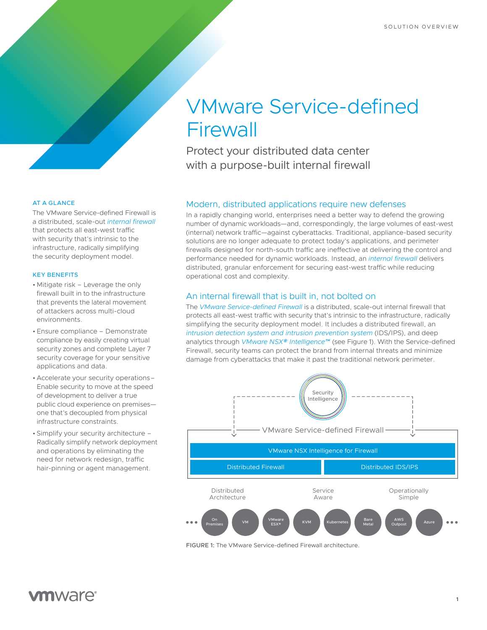# VMware Service-defined **Firewall**

Protect your distributed data center with a purpose-built internal firewall

## Modern, distributed applications require new defenses

In a rapidly changing world, enterprises need a better way to defend the growing number of dynamic workloads—and, correspondingly, the large volumes of east-west (internal) network traffic—against cyberattacks. Traditional, appliance-based security solutions are no longer adequate to protect today's applications, and perimeter firewalls designed for north-south traffic are ineffective at delivering the control and performance needed for dynamic workloads. Instead, an *[internal firewall](https://www.vmware.com/security/internal-firewall.html)* delivers distributed, granular enforcement for securing east-west traffic while reducing operational cost and complexity.

# An internal firewall that is built in, not bolted on

The *[VMware Service-defined Firewall](https://www.vmware.com/security/internal-firewall.html)* is a distributed, scale-out internal firewall that protects all east-west traffic with security that's intrinsic to the infrastructure, radically simplifying the security deployment model. It includes a distributed firewall, an *[intrusion detection system and intrusion prevention system](https://www.vmware.com/products/nsx-distributed-ids-ips.html)* (IDS/IPS), and deep analytics through *[VMware NSX® Intelligence™](https://www.vmware.com/products/nsx-intelligence-analytics-engine.html)* (see Figure 1). With the Service-defined Firewall, security teams can protect the brand from internal threats and minimize damage from cyberattacks that make it past the traditional network perimeter.



FIGURE 1: The VMware Service-defined Firewall architecture.

## AT A GLANCE

The VMware Service-defined Firewall is a distributed, scale-out *[internal firewall](https://www.vmware.com/security/internal-firewall.html)* that protects all east-west traffic with security that's intrinsic to the infrastructure, radically simplifying the security deployment model.

## KEY BENEFITS

- Mitigate risk Leverage the only firewall built in to the infrastructure that prevents the lateral movement of attackers across multi-cloud environments.
- Ensure compliance Demonstrate compliance by easily creating virtual security zones and complete Layer 7 security coverage for your sensitive applications and data.
- Accelerate your security operations– Enable security to move at the speed of development to deliver a true public cloud experience on premises one that's decoupled from physical infrastructure constraints.
- Simplify your security architecture Radically simplify network deployment and operations by eliminating the need for network redesign, traffic